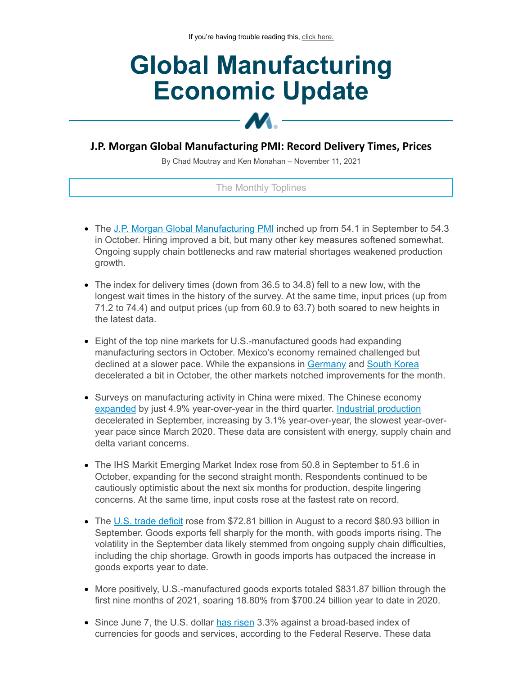# **Global Manufacturing Economic Update**

# **J.P. Morgan Global Manufacturing PMI: Record Delivery Times, Prices**

**M** 

By Chad Moutray and Ken Monahan – November 11, 2021

## The Monthly Toplines

- The J.P. Morgan Global [Manufacturing](https://click.email.nam.org/?qs=7d26777e73dd229b6b350271fa89e460004aadb3ce9c42fad6a253c6fc9abcf35c8e165202c8c3ed61241da29ad4ded18fcd09d3d06f0a948df1756ce98f9a67) PMI inched up from 54.1 in September to 54.3 in October. Hiring improved a bit, but many other key measures softened somewhat. Ongoing supply chain bottlenecks and raw material shortages weakened production growth.
- The index for delivery times (down from 36.5 to 34.8) fell to a new low, with the longest wait times in the history of the survey. At the same time, input prices (up from 71.2 to 74.4) and output prices (up from 60.9 to 63.7) both soared to new heights in the latest data.
- Eight of the top nine markets for U.S.-manufactured goods had expanding manufacturing sectors in October. Mexico's economy remained challenged but declined at a slower pace. While the expansions in [Germany](https://click.email.nam.org/?qs=7d26777e73dd229b13cee216b788bdb3cb5a5b2033e3f05bfafd839dcf85563a5eb176b2fbda73a255b52da0c95e3c0e57e4ef1501d9cd7031f6178d88caca2e) and South [Korea](https://click.email.nam.org/?qs=7d26777e73dd229b62e94bee3f0e0bd72f88c23f131073c37e379802eda16d67b18ae2eede3ed7e6bdce9ab922372d7e3f1c2a68d268963e1e7b570cea7564a0) decelerated a bit in October, the other markets notched improvements for the month.
- Surveys on manufacturing activity in China were mixed. The Chinese economy [expanded](https://click.email.nam.org/?qs=7d26777e73dd229b084151681d72d8200b9a89a51a31bf9c3e4d4ada92b7a4ebec92ecdb62be4402718b307389f75780257df04842015d9507c05a310d28eb7f) by just 4.9% year-over-year in the third quarter. Industrial [production](https://click.email.nam.org/?qs=7d26777e73dd229bb462abb8424d86e24921b7da700c009b75218e8f1211f822a7e6e422e5ef1312f4bbc2b44cd6058e7e6f8eea99ff881cf20aa269f9ceea2b) decelerated in September, increasing by 3.1% year-over-year, the slowest year-overyear pace since March 2020. These data are consistent with energy, supply chain and delta variant concerns.
- The IHS Markit Emerging Market Index rose from 50.8 in September to 51.6 in October, expanding for the second straight month. Respondents continued to be cautiously optimistic about the next six months for production, despite lingering concerns. At the same time, input costs rose at the fastest rate on record.
- The U.S. trade [deficit](https://click.email.nam.org/?qs=7d26777e73dd229b277c0820867ca559348378f145fc66480576d16346b8160b1a1d625cd9ce96ea037ca7b1c8f4c5b0838e4a3acd364e40ec76f732374f83de) rose from \$72.81 billion in August to a record \$80.93 billion in September. Goods exports fell sharply for the month, with goods imports rising. The volatility in the September data likely stemmed from ongoing supply chain difficulties, including the chip shortage. Growth in goods imports has outpaced the increase in goods exports year to date.
- More positively, U.S.-manufactured goods exports totaled \$831.87 billion through the first nine months of 2021, soaring 18.80% from \$700.24 billion year to date in 2020.
- Since June 7, the U.S. dollar has [risen](https://click.email.nam.org/?qs=7d26777e73dd229b87d25cd89d73a86a4557b9fe83d831810655b7e7001342d4c028bdeca1846699ebce06ca5901b14fe0de1529a6d33c509f0eac00a7ff39eb) 3.3% against a broad-based index of currencies for goods and services, according to the Federal Reserve. These data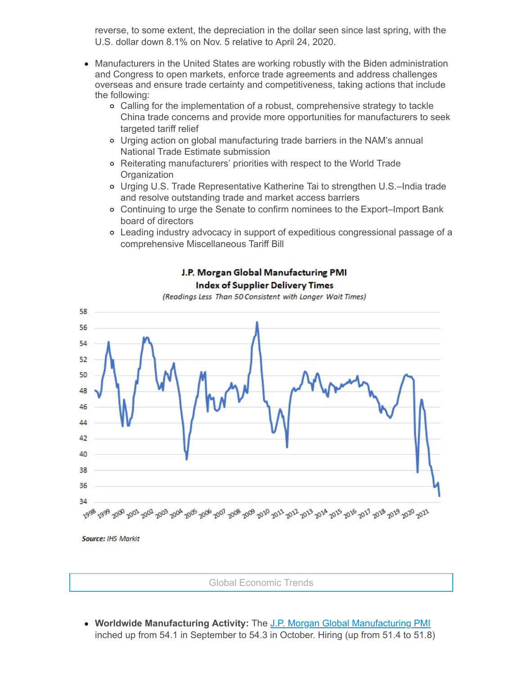reverse, to some extent, the depreciation in the dollar seen since last spring, with the U.S. dollar down 8.1% on Nov. 5 relative to April 24, 2020.

- Manufacturers in the United States are working robustly with the Biden administration and Congress to open markets, enforce trade agreements and address challenges overseas and ensure trade certainty and competitiveness, taking actions that include the following:
	- Calling for the implementation of a robust, comprehensive strategy to tackle China trade concerns and provide more opportunities for manufacturers to seek targeted tariff relief
	- Urging action on global manufacturing trade barriers in the NAM's annual National Trade Estimate submission
	- Reiterating manufacturers' priorities with respect to the World Trade **Organization**
	- Urging U.S. Trade Representative Katherine Tai to strengthen U.S.–India trade and resolve outstanding trade and market access barriers
	- Continuing to urge the Senate to confirm nominees to the Export–Import Bank board of directors
	- Leading industry advocacy in support of expeditious congressional passage of a comprehensive Miscellaneous Tariff Bill



# J.P. Morgan Global Manufacturing PMI **Index of Supplier Delivery Times**

(Readings Less Than 50 Consistent with Longer Wait Times)

**Source: IHS Markit** 

Global Economic Trends

**Worldwide Manufacturing Activity:** The J.P. Morgan Global [Manufacturing](https://click.email.nam.org/?qs=7d26777e73dd229b6b350271fa89e460004aadb3ce9c42fad6a253c6fc9abcf35c8e165202c8c3ed61241da29ad4ded18fcd09d3d06f0a948df1756ce98f9a67) PMI inched up from 54.1 in September to 54.3 in October. Hiring (up from 51.4 to 51.8)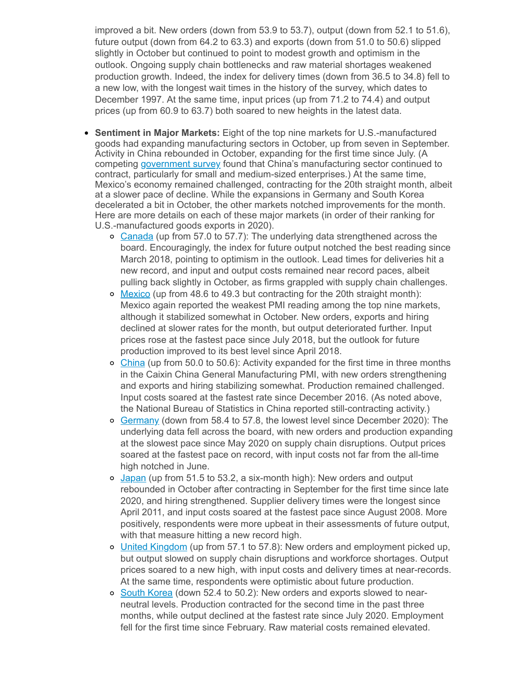improved a bit. New orders (down from 53.9 to 53.7), output (down from 52.1 to 51.6), future output (down from 64.2 to 63.3) and exports (down from 51.0 to 50.6) slipped slightly in October but continued to point to modest growth and optimism in the outlook. Ongoing supply chain bottlenecks and raw material shortages weakened production growth. Indeed, the index for delivery times (down from 36.5 to 34.8) fell to a new low, with the longest wait times in the history of the survey, which dates to December 1997. At the same time, input prices (up from 71.2 to 74.4) and output prices (up from 60.9 to 63.7) both soared to new heights in the latest data.

- **Sentiment in Major Markets:** Eight of the top nine markets for U.S.-manufactured goods had expanding manufacturing sectors in October, up from seven in September. Activity in China rebounded in October, expanding for the first time since July. (A competing [government](https://click.email.nam.org/?qs=7d26777e73dd229bdb3286b09af745b1217e260b3013b624dd0ad47a48ed6afbcc906e309c4493396145b7cb2b0122b9803fc2a10a182c34ae0f18db5798862c) survey found that China's manufacturing sector continued to contract, particularly for small and medium-sized enterprises.) At the same time, Mexico's economy remained challenged, contracting for the 20th straight month, albeit at a slower pace of decline. While the expansions in Germany and South Korea decelerated a bit in October, the other markets notched improvements for the month. Here are more details on each of these major markets (in order of their ranking for U.S.-manufactured goods exports in 2020).
	- o [Canada](https://click.email.nam.org/?qs=7d26777e73dd229b41b9b139c0e178e323406e87cf92b77266bfd997826b4f24f96b12cbb23fd82888f5b84fd8629a7f8de5a9775839b345c2788ac4358ec108) (up from 57.0 to 57.7): The underlying data strengthened across the board. Encouragingly, the index for future output notched the best reading since March 2018, pointing to optimism in the outlook. Lead times for deliveries hit a new record, and input and output costs remained near record paces, albeit pulling back slightly in October, as firms grappled with supply chain challenges.
	- $\circ$  [Mexico](https://click.email.nam.org/?qs=7d26777e73dd229b19724fdf928f3f9c4ae521809fe859ec0fc49954a8f3baa3be5a6646741d15be2aea9e965a378c46f1cabc7390dea4d3d03b49dba6d3dba1) (up from 48.6 to 49.3 but contracting for the 20th straight month): Mexico again reported the weakest PMI reading among the top nine markets, although it stabilized somewhat in October. New orders, exports and hiring declined at slower rates for the month, but output deteriorated further. Input prices rose at the fastest pace since July 2018, but the outlook for future production improved to its best level since April 2018.
	- o [China](https://click.email.nam.org/?qs=7d26777e73dd229befbc3de701b8934cc00774b2f32515fe2f805131c1935c5f1dbd3a304b2f8b7c00c5c8eee9a0e831574b84306951ed2a07f885c0af0f0608) (up from 50.0 to 50.6): Activity expanded for the first time in three months in the Caixin China General Manufacturing PMI, with new orders strengthening and exports and hiring stabilizing somewhat. Production remained challenged. Input costs soared at the fastest rate since December 2016. (As noted above, the National Bureau of Statistics in China reported still-contracting activity.)
	- o [Germany](https://click.email.nam.org/?qs=7d26777e73dd229b13cee216b788bdb3cb5a5b2033e3f05bfafd839dcf85563a5eb176b2fbda73a255b52da0c95e3c0e57e4ef1501d9cd7031f6178d88caca2e) (down from 58.4 to 57.8, the lowest level since December 2020): The underlying data fell across the board, with new orders and production expanding at the slowest pace since May 2020 on supply chain disruptions. Output prices soared at the fastest pace on record, with input costs not far from the all-time high notched in June.
	- o [Japan](https://click.email.nam.org/?qs=7d26777e73dd229bbf67ae44ff85bf0f918d4d4f04cb44a20878df7873c5f49d5bfead786a7a9d4b68f2089b0ae50664615db5fbbc1c0730e731e296285cede9) (up from 51.5 to 53.2, a six-month high): New orders and output rebounded in October after contracting in September for the first time since late 2020, and hiring strengthened. Supplier delivery times were the longest since April 2011, and input costs soared at the fastest pace since August 2008. More positively, respondents were more upbeat in their assessments of future output, with that measure hitting a new record high.
	- o United [Kingdom](https://click.email.nam.org/?qs=7d26777e73dd229bdf9569840f97fd92aaa243a07c1ca884a2febfe38dd6e03ebd09a2074b7c863490d82ef0a1e6d56bdbeb88d40195aec7ab509cf59bdcbe21) (up from 57.1 to 57.8): New orders and employment picked up, but output slowed on supply chain disruptions and workforce shortages. Output prices soared to a new high, with input costs and delivery times at near-records. At the same time, respondents were optimistic about future production.
	- o South [Korea](https://click.email.nam.org/?qs=7d26777e73dd229b62e94bee3f0e0bd72f88c23f131073c37e379802eda16d67b18ae2eede3ed7e6bdce9ab922372d7e3f1c2a68d268963e1e7b570cea7564a0) (down 52.4 to 50.2): New orders and exports slowed to nearneutral levels. Production contracted for the second time in the past three months, while output declined at the fastest rate since July 2020. Employment fell for the first time since February. Raw material costs remained elevated.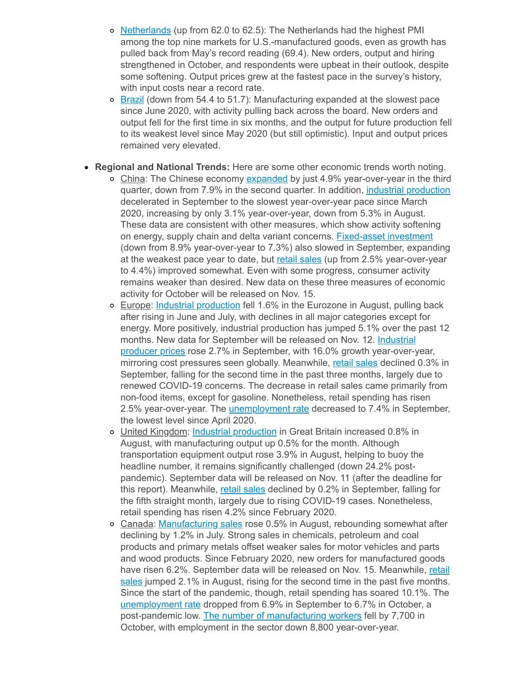- o [Netherlands](https://click.email.nam.org/?qs=7d26777e73dd229bf9a5decffd8e4b99af0da800d5fd278915425ca7f7fddd2b97a3475cf82df3bf260e4fffdd961e7cbbaf524e58676c5a7bf13e51e4809446) (up from 62.0 to 62.5): The Netherlands had the highest PMI among the top nine markets for U.S.-manufactured goods, even as growth has pulled back from May's record reading (69.4). New orders, output and hiring strengthened in October, and respondents were upbeat in their outlook, despite some softening. Output prices grew at the fastest pace in the survey's history, with input costs near a record rate.
- $\circ$  [Brazil](https://click.email.nam.org/?qs=7d26777e73dd229b1bfe02730f9e67f1df0bc3cb792aad62bcfcbd02e8e12076bfa0f0b0d720c69c64719848fef66d921b8cdef28713d4177dfe7cba7c51239d) (down from 54.4 to 51.7): Manufacturing expanded at the slowest pace since June 2020, with activity pulling back across the board. New orders and output fell for the first time in six months, and the output for future production fell to its weakest level since May 2020 (but still optimistic). Input and output prices remained very elevated.
- **Regional and National Trends:** Here are some other economic trends worth noting.
	- o China: The Chinese economy [expanded](https://click.email.nam.org/?qs=7d26777e73dd229b084151681d72d8200b9a89a51a31bf9c3e4d4ada92b7a4ebec92ecdb62be4402718b307389f75780257df04842015d9507c05a310d28eb7f) by just 4.9% year-over-year in the third quarter, down from 7.9% in the second quarter. In addition, industrial [production](https://click.email.nam.org/?qs=7d26777e73dd229bb462abb8424d86e24921b7da700c009b75218e8f1211f822a7e6e422e5ef1312f4bbc2b44cd6058e7e6f8eea99ff881cf20aa269f9ceea2b) decelerated in September to the slowest year-over-year pace since March 2020, increasing by only 3.1% year-over-year, down from 5.3% in August. These data are consistent with other measures, which show activity softening on energy, supply chain and delta variant concerns. [Fixed-asset](https://click.email.nam.org/?qs=7d26777e73dd229b7a2e915afaaf5a23baca06d24417389977eb84b5b5fcc97d0a51a2c0b7422f419e24b6e53b2556e362795dd5d8d44fe7e12b1124f608047c) investment (down from 8.9% year-over-year to 7.3%) also slowed in September, expanding at the weakest pace year to date, but retail [sales](https://click.email.nam.org/?qs=7d26777e73dd229bc8cbaf844c62644286e9bcc2a9b098df05d01bfaf20aefc74a62ae85676017e255a0ac940765704debf11853f8ac4ca7c335241ba7f2caf4) (up from 2.5% year-over-year to 4.4%) improved somewhat. Even with some progress, consumer activity remains weaker than desired. New data on these three measures of economic activity for October will be released on Nov. 15.
	- Europe: Industrial [production](https://click.email.nam.org/?qs=7d26777e73dd229b8a3339d88c8f4d19717e28165dc85fd60b633c6fd29aa904a7ee08e19dcbb3dc42cd7cc2ffa4d3985b25f94386f98fb6fb8750b9944cbfac) fell 1.6% in the Eurozone in August, pulling back after rising in June and July, with declines in all major categories except for energy. More positively, industrial production has jumped 5.1% over the past 12 months. New data for September will be released on Nov. 12. Industrial producer prices rose 2.7% in [September,](https://click.email.nam.org/?qs=7d26777e73dd229b5ece46df01682643a450f4fd18df96e8a914ea1afc618762dd3e8c7fe8dec41dff81c1c75838ac65e94a25dac20c3a4f7c1fe1099bfb8001) with 16.0% growth year-over-year, mirroring cost pressures seen globally. Meanwhile, retail [sales](https://click.email.nam.org/?qs=7d26777e73dd229b701852b6c8048379d71e317f7170e94fbed99ffef13c4709e896f08cf842caa070a95e6a7868ea1042a6d17f6da859e477ce56f650de88b5) declined 0.3% in September, falling for the second time in the past three months, largely due to renewed COVID-19 concerns. The decrease in retail sales came primarily from non-food items, except for gasoline. Nonetheless, retail spending has risen 2.5% year-over-year. The [unemployment](https://click.email.nam.org/?qs=7d26777e73dd229b0f9603b298b093132b1395cd8267e3b43ea99eaaea9476d3c5647435ed160ef92fb91db7055d7cbca37309e12d856fe89e7e3e2cd8869244) rate decreased to 7.4% in September, the lowest level since April 2020.
	- United Kingdom: Industrial [production](https://click.email.nam.org/?qs=7d26777e73dd229b26aa2116c5b472c11beae4356029057523bd97f99f54ed3fc30a24ddf4663be4799c2e4f4a29d61e586c70420eb78ae8b7c461e22db11029) in Great Britain increased 0.8% in August, with manufacturing output up 0.5% for the month. Although transportation equipment output rose 3.9% in August, helping to buoy the headline number, it remains significantly challenged (down 24.2% postpandemic). September data will be released on Nov. 11 (after the deadline for this report). Meanwhile, retail [sales](https://click.email.nam.org/?qs=7d26777e73dd229b48d22fb09411b40c47e56d3c78fbfc4b69196af0f4d34fdcae9f7fecbf5fbe4d9f131953418e1757e296d25ca3d8e2ad22dbc4b92aadb415) declined by 0.2% in September, falling for the fifth straight month, largely due to rising COVID-19 cases. Nonetheless, retail spending has risen 4.2% since February 2020.
	- Canada: [Manufacturing](https://click.email.nam.org/?qs=7d26777e73dd229b60abe8a667e03de8ef1beecb007c09e76111feebe77f408354f0d5c1f23953f47412ebd5077ee9006396b0e2ed85a406392da0430602cb83) sales rose 0.5% in August, rebounding somewhat after declining by 1.2% in July. Strong sales in chemicals, petroleum and coal products and primary metals offset weaker sales for motor vehicles and parts and wood products. Since February 2020, new orders for manufactured goods have risen 6.2%. September data will be released on Nov. 15. [Meanwhile,](https://click.email.nam.org/?qs=7d26777e73dd229b47b618815c058c2bc1b3a138de5410485358c9bc35b895bbdf3435b9933fcd7fa8f489c729893745661b5e4a2db3824316df080e244895dc) retail sales jumped 2.1% in August, rising for the second time in the past five months. Since the start of the pandemic, though, retail spending has soared 10.1%. The [unemployment](https://click.email.nam.org/?qs=7d26777e73dd229b2535bb0a90f404b34adb8f3f003d21c8bf31dab759e86fb42cefcc05f816013c4ad78fd5b6ccc4789b367df503f8f2c797cda45a88c3cb1e) rate dropped from 6.9% in September to 6.7% in October, a post-pandemic low. The number of [manufacturing](https://click.email.nam.org/?qs=7d26777e73dd229bfe70464d3a30617658be59ed0d482f86ae715a190f556d921da42a8be590480eb30d13ad87618b22257f70652ae23a809b6d9758978d8b98) workers fell by 7,700 in October, with employment in the sector down 8,800 year-over-year.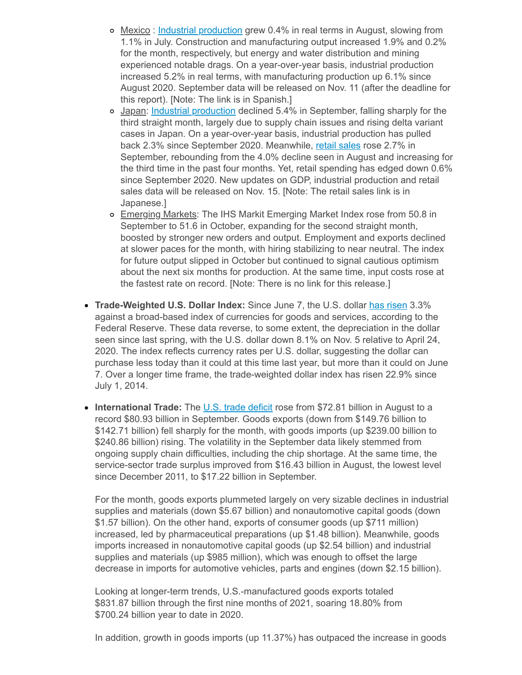- o Mexico: Industrial [production](https://click.email.nam.org/?qs=7d26777e73dd229be7e09504a8f76f6dfcc2618771d8c893e3a1c9461261020e3537cee30d2fed2caa58179823e59fede13691ce4d1564f5de5d400935bdebfb) grew 0.4% in real terms in August, slowing from 1.1% in July. Construction and manufacturing output increased 1.9% and 0.2% for the month, respectively, but energy and water distribution and mining experienced notable drags. On a year-over-year basis, industrial production increased 5.2% in real terms, with manufacturing production up 6.1% since August 2020. September data will be released on Nov. 11 (after the deadline for this report). [Note: The link is in Spanish.]
- o Japan: Industrial [production](https://click.email.nam.org/?qs=7d26777e73dd229b9aa714316d15a8f60dc131555deb1f992b5e424b0362e24e591fce6c9ead6e457b674786bad4d7748703d42f90ed8107fb1c483ce3a0e7cc) declined 5.4% in September, falling sharply for the third straight month, largely due to supply chain issues and rising delta variant cases in Japan. On a year-over-year basis, industrial production has pulled back 2.3% since September 2020. Meanwhile, retail [sales](https://click.email.nam.org/?qs=7d26777e73dd229b0be9fe445b448d500dae92c0fe9af76b7e39987a47c2fa5e7b6de88cb9f1ccd0e97005e0bb0ea30e712c65340cc50857905807462ddf8c68) rose 2.7% in September, rebounding from the 4.0% decline seen in August and increasing for the third time in the past four months. Yet, retail spending has edged down 0.6% since September 2020. New updates on GDP, industrial production and retail sales data will be released on Nov. 15. [Note: The retail sales link is in Japanese.]
- o Emerging Markets: The IHS Markit Emerging Market Index rose from 50.8 in September to 51.6 in October, expanding for the second straight month, boosted by stronger new orders and output. Employment and exports declined at slower paces for the month, with hiring stabilizing to near neutral. The index for future output slipped in October but continued to signal cautious optimism about the next six months for production. At the same time, input costs rose at the fastest rate on record. [Note: There is no link for this release.]
- **Trade-Weighted U.S. Dollar Index:** Since June 7, the U.S. dollar has [risen](https://click.email.nam.org/?qs=7d26777e73dd229b87d25cd89d73a86a4557b9fe83d831810655b7e7001342d4c028bdeca1846699ebce06ca5901b14fe0de1529a6d33c509f0eac00a7ff39eb) 3.3% against a broad-based index of currencies for goods and services, according to the Federal Reserve. These data reverse, to some extent, the depreciation in the dollar seen since last spring, with the U.S. dollar down 8.1% on Nov. 5 relative to April 24, 2020. The index reflects currency rates per U.S. dollar, suggesting the dollar can purchase less today than it could at this time last year, but more than it could on June 7. Over a longer time frame, the trade-weighted dollar index has risen 22.9% since July 1, 2014.
- International Trade: The U.S. trade [deficit](https://click.email.nam.org/?qs=7d26777e73dd229b09d6d82caac8caf404b1abbda85c1b27562bbb41e749d477296d8a3517dfb733dca4aef558974c3bb037ea09bb1e3bad762b6154c4faaed1) rose from \$72.81 billion in August to a record \$80.93 billion in September. Goods exports (down from \$149.76 billion to \$142.71 billion) fell sharply for the month, with goods imports (up \$239.00 billion to \$240.86 billion) rising. The volatility in the September data likely stemmed from ongoing supply chain difficulties, including the chip shortage. At the same time, the service-sector trade surplus improved from \$16.43 billion in August, the lowest level since December 2011, to \$17.22 billion in September.

For the month, goods exports plummeted largely on very sizable declines in industrial supplies and materials (down \$5.67 billion) and nonautomotive capital goods (down \$1.57 billion). On the other hand, exports of consumer goods (up \$711 million) increased, led by pharmaceutical preparations (up \$1.48 billion). Meanwhile, goods imports increased in nonautomotive capital goods (up \$2.54 billion) and industrial supplies and materials (up \$985 million), which was enough to offset the large decrease in imports for automotive vehicles, parts and engines (down \$2.15 billion).

Looking at longer-term trends, U.S.-manufactured goods exports totaled \$831.87 billion through the first nine months of 2021, soaring 18.80% from \$700.24 billion year to date in 2020.

In addition, growth in goods imports (up 11.37%) has outpaced the increase in goods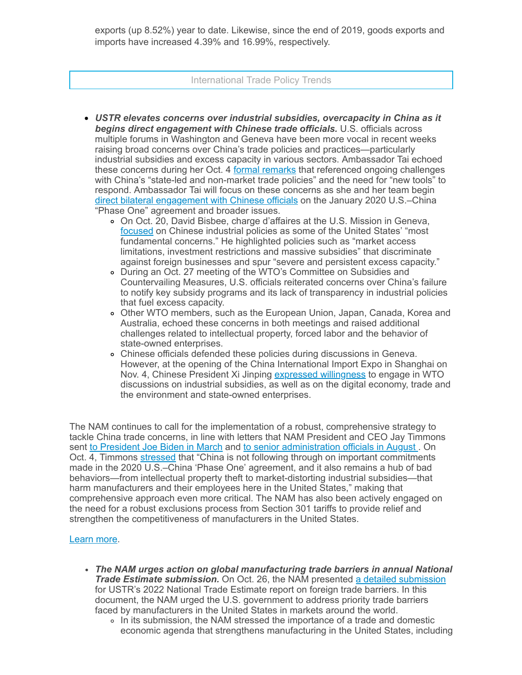exports (up 8.52%) year to date. Likewise, since the end of 2019, goods exports and imports have increased 4.39% and 16.99%, respectively.

#### International Trade Policy Trends

- *USTR elevates concerns over industrial subsidies, overcapacity in China as it begins direct engagement with Chinese trade officials.* U.S. officials across multiple forums in Washington and Geneva have been more vocal in recent weeks raising broad concerns over China's trade policies and practices—particularly industrial subsidies and excess capacity in various sectors. Ambassador Tai echoed these concerns during her Oct. 4 formal [remarks](https://click.email.nam.org/?qs=7d26777e73dd229b902f649e71b8b4a76df8f5009e15d9e48c37772f37ac05a73940bf327e4c1174117a93f92dad2726ef6f72dab5e5bb80f3a0a06c9c343122) that referenced ongoing challenges with China's "state-led and non-market trade policies" and the need for "new tools" to respond. Ambassador Tai will focus on these concerns as she and her team begin direct bilateral [engagement](https://click.email.nam.org/?qs=7d26777e73dd229b97b53de89793a733da3c2c0a31a562266791194989a65c90b1273adf8f0a8936b789c7f6f0082814576ece7be95753299c008bb9e25a34d1) with Chinese officials on the January 2020 U.S.–China "Phase One" agreement and broader issues.
	- On Oct. 20, David Bisbee, charge d'affaires at the U.S. Mission in Geneva, [focused](https://click.email.nam.org/?qs=7d26777e73dd229b8859e6d1cb2f6aa2f23642d74529794f5bd6bd1faa3648f69f0d8de5828d42bad02cffc9c978122e4b15f1bde5b5c2710911cf346e1d71d0) on Chinese industrial policies as some of the United States' "most fundamental concerns." He highlighted policies such as "market access limitations, investment restrictions and massive subsidies" that discriminate against foreign businesses and spur "severe and persistent excess capacity."
	- During an Oct. 27 meeting of the WTO's Committee on Subsidies and Countervailing Measures, U.S. officials reiterated concerns over China's failure to notify key subsidy programs and its lack of transparency in industrial policies that fuel excess capacity.
	- Other WTO members, such as the European Union, Japan, Canada, Korea and Australia, echoed these concerns in both meetings and raised additional challenges related to intellectual property, forced labor and the behavior of state-owned enterprises.
	- Chinese officials defended these policies during discussions in Geneva. However, at the opening of the China International Import Expo in Shanghai on Nov. 4, Chinese President Xi Jinping expressed [willingness](https://click.email.nam.org/?qs=7d26777e73dd229b2f16fcc4b5f9d2e22baf0525c9c1e4e777dbadbdcc0107268d5452d6b2149ba03488246f92c42174c1aafe470c21ffdd48a6801744e37381) to engage in WTO discussions on industrial subsidies, as well as on the digital economy, trade and the environment and state-owned enterprises.

The NAM continues to call for the implementation of a robust, comprehensive strategy to tackle China trade concerns, in line with letters that NAM President and CEO Jay Timmons sent to [President](https://click.email.nam.org/?qs=7d26777e73dd229b25cc6202bdac88972348cfcb3aa948112fa2652f7e4f911b311c863752b56f4f9e94fa08a3de64a03306853bef825c0ee885ea69bbce9029) Joe Biden in March and to senior [administration](https://click.email.nam.org/?qs=7d26777e73dd229b5eced89275c158dc1b241706f0641ccbfceae2803e66cc8cc6cc40cb90b70340e4f6befd241380c07205070d4dc5f5cc84934986564692d1) officials in August. On Oct. 4, Timmons [stressed](https://click.email.nam.org/?qs=7d26777e73dd229b8bfc7c2d8e3b5a24227bafc3751377db871d417b0e057e27be495ddb6a11f5a1646ab4b37ab45448f7cc6bce5ae3b0959d6effea663cce88) that "China is not following through on important commitments made in the 2020 U.S.–China 'Phase One' agreement, and it also remains a hub of bad behaviors—from intellectual property theft to market-distorting industrial subsidies—that harm manufacturers and their employees here in the United States," making that comprehensive approach even more critical. The NAM has also been actively engaged on the need for a robust exclusions process from Section 301 tariffs to provide relief and strengthen the competitiveness of manufacturers in the United States.

#### [Learn](mailto:rong@nam.org?subject=China) more.

- *The NAM urges action on global manufacturing trade barriers in annual National Trade Estimate submission.* On Oct. 26, the NAM presented a detailed [submission](https://click.email.nam.org/?qs=7d26777e73dd229b89e15507e66e0e6c87b63e62aef23b3c6974c32392712f0fb690492314cf0316d4ae52d5838d5b3bf945c3ed11f1d9a6da304eb08cc9ab0b) for USTR's 2022 National Trade Estimate report on foreign trade barriers. In this document, the NAM urged the U.S. government to address priority trade barriers faced by manufacturers in the United States in markets around the world.
	- In its submission, the NAM stressed the importance of a trade and domestic economic agenda that strengthens manufacturing in the United States, including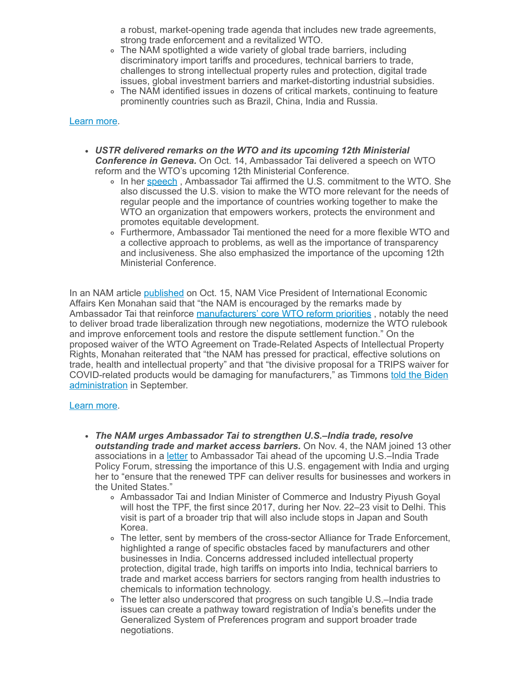a robust, market-opening trade agenda that includes new trade agreements, strong trade enforcement and a revitalized WTO.

- The NAM spotlighted a wide variety of global trade barriers, including discriminatory import tariffs and procedures, technical barriers to trade, challenges to strong intellectual property rules and protection, digital trade issues, global investment barriers and market-distorting industrial subsidies.
- The NAM identified issues in dozens of critical markets, continuing to feature prominently countries such as Brazil, China, India and Russia.

#### [Learn](mailto:rong@nam.org?subject=NTE/Global%20Trade%20Barriers) more.

- *USTR delivered remarks on the WTO and its upcoming 12th Ministerial Conference in Geneva.* On Oct. 14, Ambassador Tai delivered a speech on WTO reform and the WTO's upcoming 12th Ministerial Conference.
	- In her [speech](https://click.email.nam.org/?qs=7d26777e73dd229b05b4706c22f99b47612bede08f1c7fa716d142b6a995a5795961d4732bd74a2f605d81c506cf954ae942747990e4e3476f36b99fcb821ea9), Ambassador Tai affirmed the U.S. commitment to the WTO. She also discussed the U.S. vision to make the WTO more relevant for the needs of regular people and the importance of countries working together to make the WTO an organization that empowers workers, protects the environment and promotes equitable development.
	- Furthermore, Ambassador Tai mentioned the need for a more flexible WTO and a collective approach to problems, as well as the importance of transparency and inclusiveness. She also emphasized the importance of the upcoming 12th Ministerial Conference.

In an NAM article [published](https://click.email.nam.org/?qs=7d26777e73dd229b31cec5c6f1ae3697eb206c48dd567fb18b67e0b76eb3857f8ad220677667f0c2bea680eaa308470cbeb937cb7e0b0c8a1d2f5f3cf593d23b) on Oct. 15, NAM Vice President of International Economic Affairs Ken Monahan said that "the NAM is encouraged by the remarks made by Ambassador Tai that reinforce [manufacturers'](https://click.email.nam.org/?qs=7d26777e73dd229b92d2a8ccb933415feb14e7345f9aff9a9a7ac83a132a770243643a7e4b0f8faeb47b902464d0bcd138329bb1fc414729ddd220639e8622ee) core WTO reform priorities, notably the need to deliver broad trade liberalization through new negotiations, modernize the WTO rulebook and improve enforcement tools and restore the dispute settlement function." On the proposed waiver of the WTO Agreement on Trade-Related Aspects of Intellectual Property Rights, Monahan reiterated that "the NAM has pressed for practical, effective solutions on trade, health and intellectual property" and that "the divisive proposal for a TRIPS waiver for COVID-related products would be damaging for [manufacturers,"](https://click.email.nam.org/?qs=7d26777e73dd229b43187b57ff445138a0a75c7aa378d78dd30fc9d2c86eece76e52dafb7543c0a024d7621ff0184a0e5a7da2e37e490ba0db56972bf2f78fa9) as Timmons told the Biden administration in September.

#### [Learn](mailto:msierra@nam.org?subject=WTO) more.

- *The NAM urges Ambassador Tai to strengthen U.S.–India trade, resolve outstanding trade and market access barriers.* On Nov. 4, the NAM joined 13 other associations in a [letter](https://click.email.nam.org/?qs=7d26777e73dd229b403cbdb867dd90107cd6522e121d1802d708a7d555abd14ab0c17775129a1332890042360ba67c75a898660054abea5809d1486fef706438) to Ambassador Tai ahead of the upcoming U.S.–India Trade Policy Forum, stressing the importance of this U.S. engagement with India and urging her to "ensure that the renewed TPF can deliver results for businesses and workers in the United States."
	- Ambassador Tai and Indian Minister of Commerce and Industry Piyush Goyal will host the TPF, the first since 2017, during her Nov. 22–23 visit to Delhi. This visit is part of a broader trip that will also include stops in Japan and South Korea.
	- The letter, sent by members of the cross-sector Alliance for Trade Enforcement, highlighted a range of specific obstacles faced by manufacturers and other businesses in India. Concerns addressed included intellectual property protection, digital trade, high tariffs on imports into India, technical barriers to trade and market access barriers for sectors ranging from health industries to chemicals to information technology.
	- The letter also underscored that progress on such tangible U.S.–India trade issues can create a pathway toward registration of India's benefits under the Generalized System of Preferences program and support broader trade negotiations.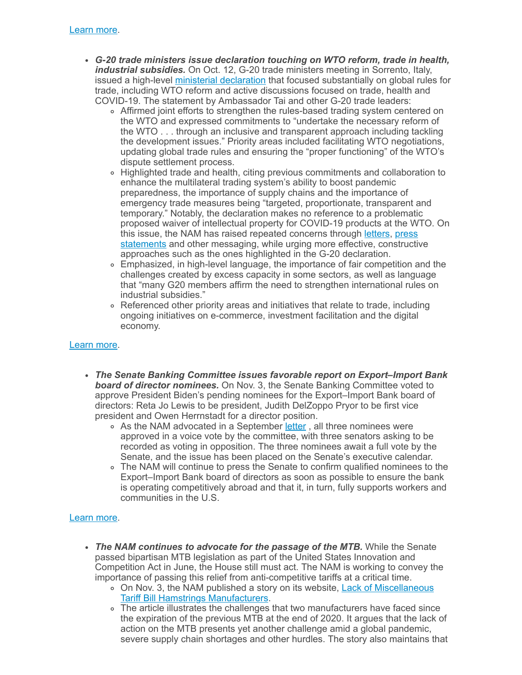- *G-20 trade ministers issue declaration touching on WTO reform, trade in health, industrial subsidies.* On Oct. 12, G-20 trade ministers meeting in Sorrento, Italy, issued a high-level ministerial [declaration](https://click.email.nam.org/?qs=7d26777e73dd229b013f8a8a28f5ea8f3f68581fbd61801aa149b5672fe3e8c6108c66afa39732ebc70f4370245387feca826065720960cae82d546af8302d41) that focused substantially on global rules for trade, including WTO reform and active discussions focused on trade, health and COVID-19. The statement by Ambassador Tai and other G-20 trade leaders:
	- Affirmed joint efforts to strengthen the rules-based trading system centered on the WTO and expressed commitments to "undertake the necessary reform of the WTO . . . through an inclusive and transparent approach including tackling the development issues." Priority areas included facilitating WTO negotiations, updating global trade rules and ensuring the "proper functioning" of the WTO's dispute settlement process.
	- Highlighted trade and health, citing previous commitments and collaboration to enhance the multilateral trading system's ability to boost pandemic preparedness, the importance of supply chains and the importance of emergency trade measures being "targeted, proportionate, transparent and temporary." Notably, the declaration makes no reference to a problematic proposed waiver of intellectual property for COVID-19 products at the WTO. On this issue, the NAM has raised repeated concerns through [letters](https://click.email.nam.org/?qs=7d26777e73dd229b2ed154bd8075a7fa7a10a47d2556aa7941534cc83f6e918f1bf4d06972448a8ae9d219a7f32779ff42103ee76213b634971397e56dbf0efc), press statements and other [messaging,](https://click.email.nam.org/?qs=7d26777e73dd229bb3838d766d7c6aa1a0e9d7ad7b9447ef8efbc8b7371128be48807c5bf726010cf0fc6f1f0de77e1861ca41e2955613cb99b4b075682536f7) while urging more effective, constructive approaches such as the ones highlighted in the G-20 declaration.
	- Emphasized, in high-level language, the importance of fair competition and the challenges created by excess capacity in some sectors, as well as language that "many G20 members affirm the need to strengthen international rules on industrial subsidies."
	- Referenced other priority areas and initiatives that relate to trade, including ongoing initiatives on e-commerce, investment facilitation and the digital economy.

## [Learn](mailto:rong@nam.org;msierra@nam.org?subject=G20%20Trade%20Declaration) more.

- *The Senate Banking Committee issues favorable report on Export–Import Bank board of director nominees.* On Nov. 3, the Senate Banking Committee voted to approve President Biden's pending nominees for the Export–Import Bank board of directors: Reta Jo Lewis to be president, Judith DelZoppo Pryor to be first vice president and Owen Herrnstadt for a director position.
	- o As the NAM advocated in a September [letter](https://click.email.nam.org/?qs=7d26777e73dd229b2c1ed1aab1e323ce0cf16bd4cdfb77c67418b02f8cc5f8ae093c4c861cd3eb37b59feefc20b701aa215809e609bf8c5c6783aac3d0712d30), all three nominees were approved in a voice vote by the committee, with three senators asking to be recorded as voting in opposition. The three nominees await a full vote by the Senate, and the issue has been placed on the Senate's executive calendar.
	- The NAM will continue to press the Senate to confirm qualified nominees to the Export–Import Bank board of directors as soon as possible to ensure the bank is operating competitively abroad and that it, in turn, fully supports workers and communities in the U.S.

## [Learn](mailto:aaafedt@nam.org?subject=Ex-Im%20Bank) more.

- *The NAM continues to advocate for the passage of the MTB.* While the Senate passed bipartisan MTB legislation as part of the United States Innovation and Competition Act in June, the House still must act. The NAM is working to convey the importance of passing this relief from anti-competitive tariffs at a critical time.
	- o On Nov. 3, the NAM published a story on its website, Lack of Miscellaneous Tariff Bill Hamstrings [Manufacturers.](https://click.email.nam.org/?qs=7d26777e73dd229be4565262abeb2c5c20312a04ec8734bdee98867ce2661911f318fc4fbb805b21580395aa89a82e8ee2bbbec0523443fc5d9ef46a5d3837a8)
	- The article illustrates the challenges that two manufacturers have faced since the expiration of the previous MTB at the end of 2020. It argues that the lack of action on the MTB presents yet another challenge amid a global pandemic, severe supply chain shortages and other hurdles. The story also maintains that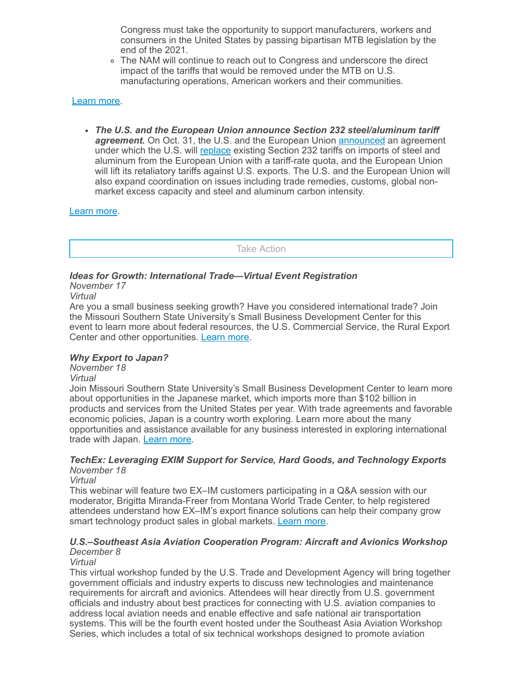Congress must take the opportunity to support manufacturers, workers and consumers in the United States by passing bipartisan MTB legislation by the end of the 2021.

The NAM will continue to reach out to Congress and underscore the direct impact of the tariffs that would be removed under the MTB on U.S. manufacturing operations, American workers and their communities.

### [Learn](mailto:aaafedt@nam.org?subject=Miscellaneous%20Tariff%20Bill) more.

*The U.S. and the European Union announce Section 232 steel/aluminum tariff* agreement. On Oct. 31, the U.S. and the European Union **[announced](https://click.email.nam.org/?qs=7d26777e73dd229b67421fb722e09ae751457d3f9a68a0de7b56176db7eddd97a62e3ba29a0f703942f1eca8144a28b6355df4939cf773de643e872e2a414538)** an agreement under which the U.S. will [replace](https://click.email.nam.org/?qs=7d26777e73dd229bc063d2d73c5ac49408e6aefe87d0027361c9665b9946386be642a17add366c71488789792e9c11b5681839feed51b311ac89a06b7848082b) existing Section 232 tariffs on imports of steel and aluminum from the European Union with a tariff-rate quota, and the European Union will lift its retaliatory tariffs against U.S. exports. The U.S. and the European Union will also expand coordination on issues including trade remedies, customs, global nonmarket excess capacity and steel and aluminum carbon intensity.

## [Learn](mailto:kmonahan@nam.org?subject=Section%20232%20Investigations) more.

Take Action

# *Ideas for Growth: International Trade—Virtual Event Registration*

*November 17*

*Virtual*

Are you a small business seeking growth? Have you considered international trade? Join the Missouri Southern State University's Small Business Development Center for this event to learn more about federal resources, the U.S. Commercial Service, the Rural Export Center and other opportunities. [Learn](https://click.email.nam.org/?qs=7d26777e73dd229b251b3b5b174849bbe0a8f6b69f898f4e99f2999c0c315c0e06eda13d787ba80b83ffd7aa42b01acaa72087890a2329674de68da973ca9eb6) more.

## *Why Export to Japan?*

*November 18*

#### *Virtual*

Join Missouri Southern State University's Small Business Development Center to learn more about opportunities in the Japanese market, which imports more than \$102 billion in products and services from the United States per year. With trade agreements and favorable economic policies, Japan is a country worth exploring. Learn more about the many opportunities and assistance available for any business interested in exploring international trade with Japan. [Learn](https://click.email.nam.org/?qs=7d26777e73dd229b06205b5f29979de01a51e10475d5da2dd0e522a1ef060db81fdca4992c09433ad5d410d85b61f3d4472fe4e429deef32f462bc3995989312) more.

#### *TechEx: Leveraging EXIM Support for Service, Hard Goods, and Technology Exports November 18*

*Virtual*

This webinar will feature two EX–IM customers participating in a Q&A session with our moderator, Brigitta Miranda-Freer from Montana World Trade Center, to help registered attendees understand how EX–IM's export finance solutions can help their company grow smart technology product sales in global markets. [Learn](https://click.email.nam.org/?qs=7d26777e73dd229b957c518f3b367338b57a6f2b7194ca59ff02aa3de56c4db6b28d32f4cd0a195b36b62f642b6e495dcff2cf9ae17cfad36c09529d274bbde0) more.

#### *U.S.–Southeast Asia Aviation Cooperation Program: Aircraft and Avionics Workshop December 8*

## *Virtual*

This virtual workshop funded by the U.S. Trade and Development Agency will bring together government officials and industry experts to discuss new technologies and maintenance requirements for aircraft and avionics. Attendees will hear directly from U.S. government officials and industry about best practices for connecting with U.S. aviation companies to address local aviation needs and enable effective and safe national air transportation systems. This will be the fourth event hosted under the Southeast Asia Aviation Workshop Series, which includes a total of six technical workshops designed to promote aviation